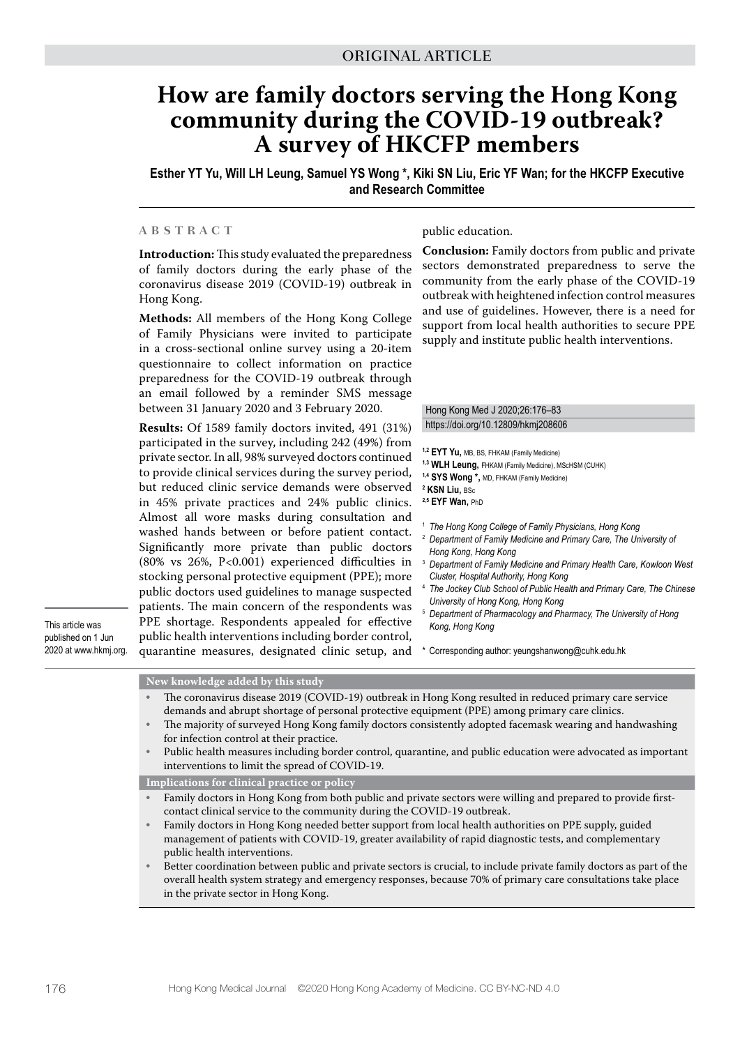# **How are family doctors serving the Hong Kong community during the COVID-19 outbreak? A survey of HKCFP members**

**Esther YT Yu, Will LH Leung, Samuel YS Wong \*, Kiki SN Liu, Eric YF Wan; for the HKCFP Executive and Research Committee**

## **ABSTRACT**

**Introduction:** This study evaluated the preparedness of family doctors during the early phase of the coronavirus disease 2019 (COVID-19) outbreak in Hong Kong.

**Methods:** All members of the Hong Kong College of Family Physicians were invited to participate in a cross-sectional online survey using a 20-item questionnaire to collect information on practice preparedness for the COVID-19 outbreak through an email followed by a reminder SMS message between 31 January 2020 and 3 February 2020.

**Results:** Of 1589 family doctors invited, 491 (31%) participated in the survey, including 242 (49%) from private sector. In all, 98% surveyed doctors continued to provide clinical services during the survey period, but reduced clinic service demands were observed in 45% private practices and 24% public clinics. Almost all wore masks during consultation and washed hands between or before patient contact. Significantly more private than public doctors (80% vs 26%, P<0.001) experienced difficulties in stocking personal protective equipment (PPE); more public doctors used guidelines to manage suspected patients. The main concern of the respondents was PPE shortage. Respondents appealed for effective public health interventions including border control, quarantine measures, designated clinic setup, and

This article was published on 1 Jun 2020 at www.hkmj.org.

### public education.

**Conclusion:** Family doctors from public and private sectors demonstrated preparedness to serve the community from the early phase of the COVID-19 outbreak with heightened infection control measures and use of guidelines. However, there is a need for support from local health authorities to secure PPE supply and institute public health interventions.

#### Hong Kong Med J 2020;26:176–83 https://doi.org/10.12809/hkmj208606

- **1,2 EYT Yu,** MB, BS, FHKAM (Family Medicine)
- **1,3 WLH Leung,** FHKAM (Family Medicine), MScHSM (CUHK)
- **1,4 SYS Wong \*,** MD, FHKAM (Family Medicine)
- **2 KSN Liu,** BSc
- **2,5 EYF Wan,** PhD
- <sup>1</sup> *The Hong Kong College of Family Physicians, Hong Kong*
- <sup>2</sup> *Department of Family Medicine and Primary Care, The University of Hong Kong, Hong Kong*
- <sup>3</sup> *Department of Family Medicine and Primary Health Care, Kowloon West Cluster, Hospital Authority, Hong Kong*
- <sup>4</sup> *The Jockey Club School of Public Health and Primary Care, The Chinese University of Hong Kong, Hong Kong*
- <sup>5</sup> *Department of Pharmacology and Pharmacy, The University of Hong Kong, Hong Kong*
- \* Corresponding author: yeungshanwong@cuhk.edu.hk

### **New knowledge added by this study**

- The coronavirus disease 2019 (COVID-19) outbreak in Hong Kong resulted in reduced primary care service demands and abrupt shortage of personal protective equipment (PPE) among primary care clinics.
- The majority of surveyed Hong Kong family doctors consistently adopted facemask wearing and handwashing for infection control at their practice.
- Public health measures including border control, quarantine, and public education were advocated as important interventions to limit the spread of COVID-19.

**Implications for clinical practice or policy**

- Family doctors in Hong Kong from both public and private sectors were willing and prepared to provide firstcontact clinical service to the community during the COVID-19 outbreak.
- Family doctors in Hong Kong needed better support from local health authorities on PPE supply, guided management of patients with COVID-19, greater availability of rapid diagnostic tests, and complementary public health interventions.
- Better coordination between public and private sectors is crucial, to include private family doctors as part of the overall health system strategy and emergency responses, because 70% of primary care consultations take place in the private sector in Hong Kong.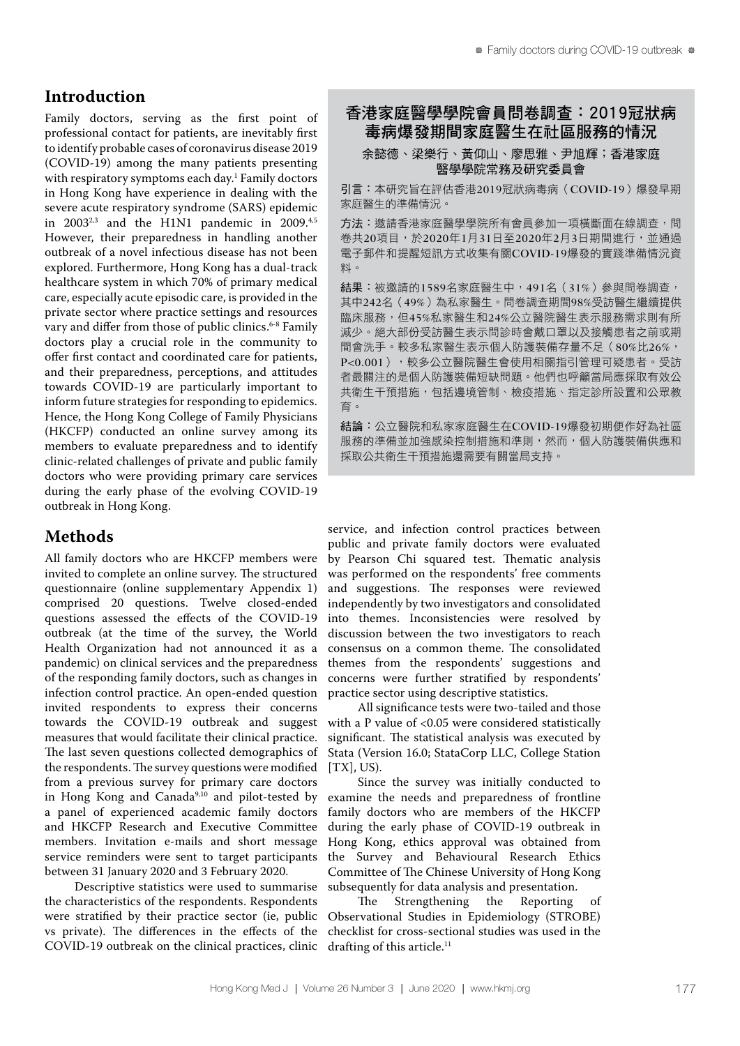## **Introduction**

Family doctors, serving as the first point of professional contact for patients, are inevitably first to identify probable cases of coronavirus disease 2019 (COVID-19) among the many patients presenting with respiratory symptoms each day.1 Family doctors in Hong Kong have experience in dealing with the severe acute respiratory syndrome (SARS) epidemic in  $2003^{2,3}$  and the H1N1 pandemic in  $2009.^{4,5}$ However, their preparedness in handling another outbreak of a novel infectious disease has not been explored. Furthermore, Hong Kong has a dual-track healthcare system in which 70% of primary medical care, especially acute episodic care, is provided in the private sector where practice settings and resources vary and differ from those of public clinics.<sup>6-8</sup> Family doctors play a crucial role in the community to offer first contact and coordinated care for patients, and their preparedness, perceptions, and attitudes towards COVID-19 are particularly important to inform future strategies for responding to epidemics. Hence, the Hong Kong College of Family Physicians (HKCFP) conducted an online survey among its members to evaluate preparedness and to identify clinic-related challenges of private and public family doctors who were providing primary care services during the early phase of the evolving COVID-19 outbreak in Hong Kong.

## **Methods**

All family doctors who are HKCFP members were invited to complete an online survey. The structured questionnaire (online supplementary Appendix 1) comprised 20 questions. Twelve closed-ended questions assessed the effects of the COVID-19 outbreak (at the time of the survey, the World Health Organization had not announced it as a pandemic) on clinical services and the preparedness of the responding family doctors, such as changes in infection control practice. An open-ended question invited respondents to express their concerns towards the COVID-19 outbreak and suggest measures that would facilitate their clinical practice. The last seven questions collected demographics of the respondents. The survey questions were modified from a previous survey for primary care doctors in Hong Kong and Canada<sup>9,10</sup> and pilot-tested by a panel of experienced academic family doctors and HKCFP Research and Executive Committee members. Invitation e-mails and short message service reminders were sent to target participants between 31 January 2020 and 3 February 2020.

Descriptive statistics were used to summarise the characteristics of the respondents. Respondents were stratified by their practice sector (ie, public vs private). The differences in the effects of the COVID-19 outbreak on the clinical practices, clinic

## 香港家庭醫學學院會員問卷調查:2019冠狀病 毒病爆發期間家庭醫生在社區服務的情況

## 余懿德、梁樂行、黃仰山、廖思雅、尹旭輝;香港家庭 醫學學院常務及研究委員會

引言:本研究旨在評估香港2019冠狀病毒病(COVID-19)爆發早期 家庭醫生的準備情況。

方法:邀請香港家庭醫學院所有會員參加一項橫斷面在線調查,問 卷共20項目,於2020年1月31日至2020年2月3日期間進行,並通過 電子郵件和提醒短訊方式收集有關COVID-19爆發的實踐準備情況資 料。

結果:被邀請的1589名家庭醫生中,491名(31%)參與問卷調查, 其中242名(49%)為私家醫生。問卷調查期間98%受訪醫生繼續提供 臨床服務,但45%私家醫生和24%公立醫院醫生表示服務需求則有所 減少。絕大部份受訪醫生表示問診時會戴口罩以及接觸患者之前或期 間會洗手。較多私家醫生表示個人防護裝備存量不足(80%比26%, P<0.001),較多公立醫院醫生會使用相關指引管理可疑患者。受訪 者最關注的是個人防護裝備短缺問題。他們也呼籲當局應採取有效公 共衛生干預措施,包括邊境管制、檢疫措施、指定診所設置和公眾教 育。

結論:公立醫院和私家家庭醫生在COVID-19爆發初期便作好為社區 服務的準備並加強感染控制措施和準則,然而,個人防護裝備供應和 採取公共衛生干預措施還需要有關當局支持。

service, and infection control practices between public and private family doctors were evaluated by Pearson Chi squared test. Thematic analysis was performed on the respondents' free comments and suggestions. The responses were reviewed independently by two investigators and consolidated into themes. Inconsistencies were resolved by discussion between the two investigators to reach consensus on a common theme. The consolidated themes from the respondents' suggestions and concerns were further stratified by respondents' practice sector using descriptive statistics.

All significance tests were two-tailed and those with a P value of <0.05 were considered statistically significant. The statistical analysis was executed by Stata (Version 16.0; StataCorp LLC, College Station  $[TX]$ , US).

Since the survey was initially conducted to examine the needs and preparedness of frontline family doctors who are members of the HKCFP during the early phase of COVID-19 outbreak in Hong Kong, ethics approval was obtained from the Survey and Behavioural Research Ethics Committee of The Chinese University of Hong Kong subsequently for data analysis and presentation.<br>The Strengthening the Reporting

Strengthening the Reporting of Observational Studies in Epidemiology (STROBE) checklist for cross-sectional studies was used in the drafting of this article.<sup>11</sup>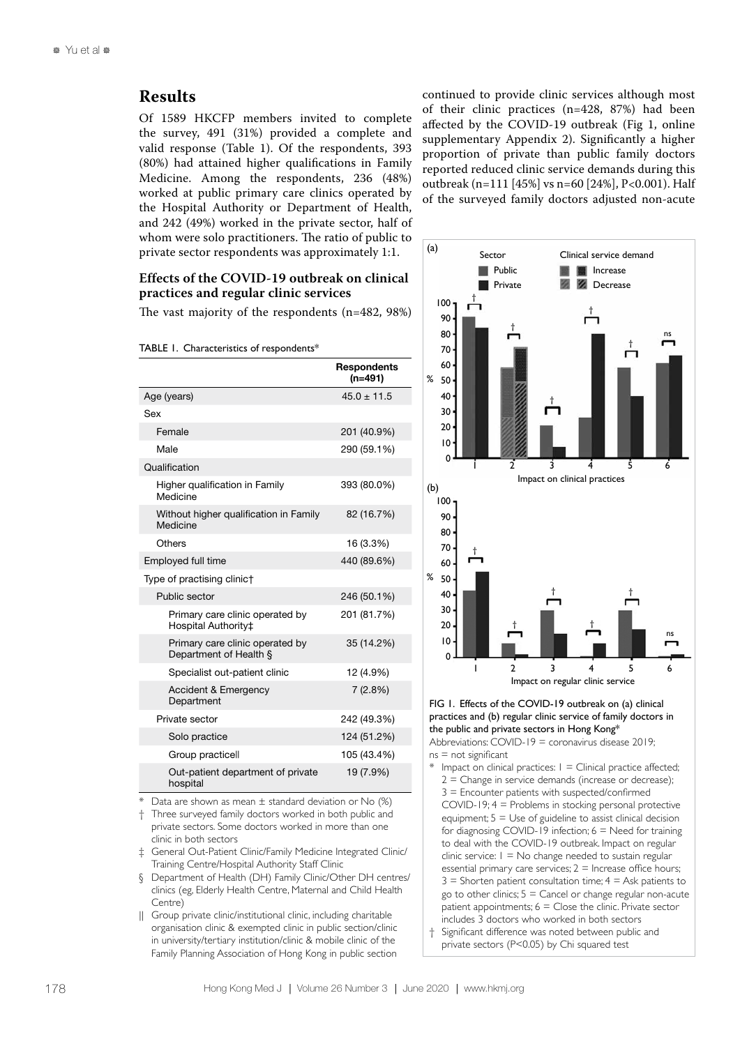## **Results**

Of 1589 HKCFP members invited to complete the survey, 491 (31%) provided a complete and valid response (Table 1). Of the respondents, 393 (80%) had attained higher qualifications in Family Medicine. Among the respondents, 236 (48%) worked at public primary care clinics operated by the Hospital Authority or Department of Health, and 242 (49%) worked in the private sector, half of whom were solo practitioners. The ratio of public to private sector respondents was approximately 1:1.

## **Effects of the COVID-19 outbreak on clinical practices and regular clinic services**

The vast majority of the respondents (n=482, 98%)

TABLE 1. Characteristics of respondents\*

|                                                           | <b>Respondents</b><br>$(n=491)$ |
|-----------------------------------------------------------|---------------------------------|
| Age (years)                                               | $45.0 \pm 11.5$                 |
| Sex                                                       |                                 |
| Female                                                    | 201 (40.9%)                     |
| Male                                                      | 290 (59.1%)                     |
| Qualification                                             |                                 |
| Higher qualification in Family<br>Medicine                | 393 (80.0%)                     |
| Without higher qualification in Family<br>Medicine        | 82 (16.7%)                      |
| Others                                                    | 16 (3.3%)                       |
| Employed full time                                        | 440 (89.6%)                     |
| Type of practising clinic†                                |                                 |
| Public sector                                             | 246 (50.1%)                     |
| Primary care clinic operated by<br>Hospital Authority‡    | 201 (81.7%)                     |
| Primary care clinic operated by<br>Department of Health § | 35 (14.2%)                      |
| Specialist out-patient clinic                             | 12 (4.9%)                       |
| Accident & Emergency<br>Department                        | 7(2.8%)                         |
| Private sector                                            | 242 (49.3%)                     |
| Solo practice                                             | 124 (51.2%)                     |
| Group practicell                                          | 105 (43.4%)                     |
| Out-patient department of private<br>hospital             | 19 (7.9%)                       |

Data are shown as mean  $\pm$  standard deviation or No (%)

† Three surveyed family doctors worked in both public and private sectors. Some doctors worked in more than one clinic in both sectors

‡ General Out-Patient Clinic/Family Medicine Integrated Clinic/ Training Centre/Hospital Authority Staff Clinic

§ Department of Health (DH) Family Clinic/Other DH centres/ clinics (eg, Elderly Health Centre, Maternal and Child Health Centre)

|| Group private clinic/institutional clinic, including charitable organisation clinic & exempted clinic in public section/clinic in university/tertiary institution/clinic & mobile clinic of the Family Planning Association of Hong Kong in public section continued to provide clinic services although most of their clinic practices (n=428, 87%) had been affected by the COVID-19 outbreak (Fig 1, online supplementary Appendix 2). Significantly a higher proportion of private than public family doctors reported reduced clinic service demands during this outbreak (n=111 [45%] vs n=60 [24%], P<0.001). Half of the surveyed family doctors adjusted non-acute



FIG 1. Effects of the COVID-19 outbreak on (a) clinical practices and (b) regular clinic service of family doctors in the public and private sectors in Hong Kong\* Abbreviations: COVID-19 = coronavirus disease 2019;

 $ns = not$  significant

Impact on clinical practices:  $1 =$  Clinical practice affected;  $2 =$  Change in service demands (increase or decrease); 3 = Encounter patients with suspected/confirmed COVID-19; 4 = Problems in stocking personal protective equipment;  $5 =$  Use of guideline to assist clinical decision for diagnosing COVID-19 infection;  $6 =$  Need for training to deal with the COVID-19 outbreak. Impact on regular clinic service:  $1 = No$  change needed to sustain regular essential primary care services:  $2 =$  Increase office hours;  $3 =$  Shorten patient consultation time;  $4 =$  Ask patients to go to other clinics;  $5 =$  Cancel or change regular non-acute patient appointments;  $6 =$  Close the clinic. Private sector includes 3 doctors who worked in both sectors

† Significant difference was noted between public and private sectors (P<0.05) by Chi squared test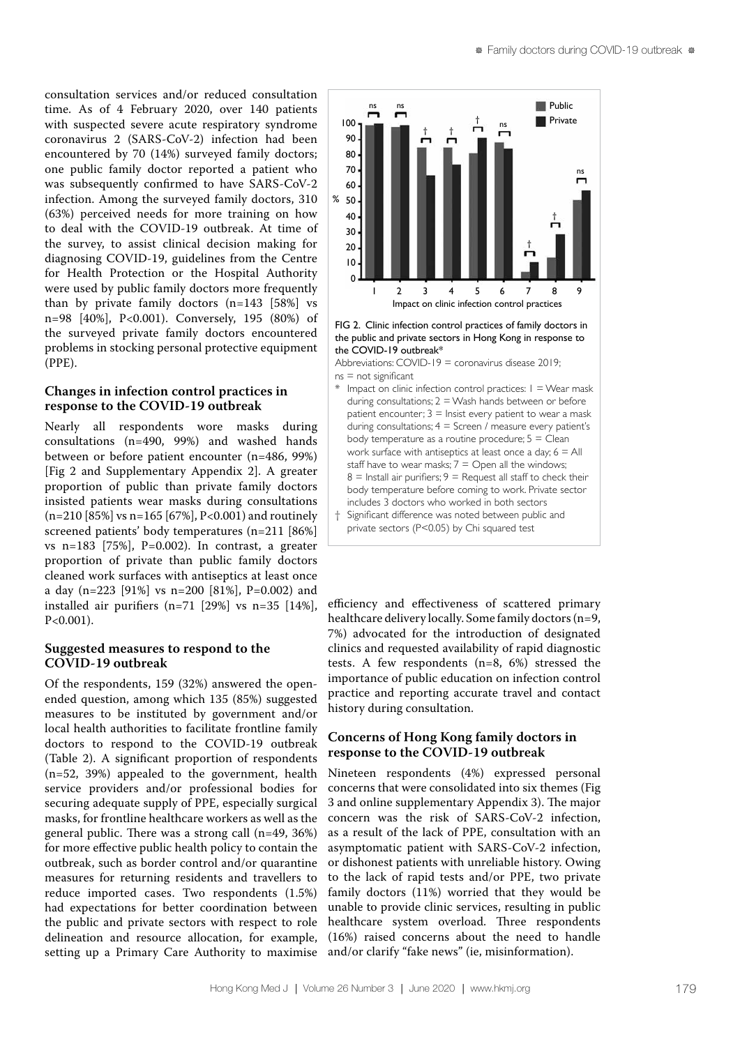consultation services and/or reduced consultation time. As of 4 February 2020, over 140 patients with suspected severe acute respiratory syndrome coronavirus 2 (SARS-CoV-2) infection had been encountered by 70 (14%) surveyed family doctors; one public family doctor reported a patient who was subsequently confirmed to have SARS-CoV-2 infection. Among the surveyed family doctors, 310 (63%) perceived needs for more training on how to deal with the COVID-19 outbreak. At time of the survey, to assist clinical decision making for diagnosing COVID-19, guidelines from the Centre for Health Protection or the Hospital Authority were used by public family doctors more frequently than by private family doctors (n=143 [58%] vs n=98 [40%], P<0.001). Conversely, 195 (80%) of the surveyed private family doctors encountered problems in stocking personal protective equipment (PPE).

## **Changes in infection control practices in response to the COVID-19 outbreak**

Nearly all respondents wore masks during consultations (n=490, 99%) and washed hands between or before patient encounter (n=486, 99%) [Fig 2 and Supplementary Appendix 2]. A greater proportion of public than private family doctors insisted patients wear masks during consultations (n=210 [85%] vs n=165 [67%], P<0.001) and routinely screened patients' body temperatures (n=211 [86%] vs n=183 [75%],  $P=0.002$ ). In contrast, a greater proportion of private than public family doctors cleaned work surfaces with antiseptics at least once a day (n=223 [91%] vs n=200 [81%], P=0.002) and installed air purifiers (n=71 [29%] vs n=35 [14%],  $P < 0.001$ ).

## **Suggested measures to respond to the COVID-19 outbreak**

Of the respondents, 159 (32%) answered the openended question, among which 135 (85%) suggested measures to be instituted by government and/or local health authorities to facilitate frontline family doctors to respond to the COVID-19 outbreak (Table 2). A significant proportion of respondents (n=52, 39%) appealed to the government, health service providers and/or professional bodies for securing adequate supply of PPE, especially surgical masks, for frontline healthcare workers as well as the general public. There was a strong call (n=49, 36%) for more effective public health policy to contain the outbreak, such as border control and/or quarantine measures for returning residents and travellers to reduce imported cases. Two respondents (1.5%) had expectations for better coordination between the public and private sectors with respect to role delineation and resource allocation, for example, setting up a Primary Care Authority to maximise



FIG 2. Clinic infection control practices of family doctors in the public and private sectors in Hong Kong in response to the COVID-19 outbreak\*

Abbreviations: COVID-19 = coronavirus disease 2019;  $ns = not$  significant

- $*$  Impact on clinic infection control practices:  $I = Wear$  mask during consultations;  $2 =$  Wash hands between or before patient encounter;  $3 =$  Insist every patient to wear a mask during consultations;  $4 =$  Screen / measure every patient's body temperature as a routine procedure;  $5 =$  Clean work surface with antiseptics at least once a day;  $6 = All$ staff have to wear masks;  $7 =$  Open all the windows;  $8 =$  Install air purifiers;  $9 =$  Request all staff to check their body temperature before coming to work. Private sector includes 3 doctors who worked in both sectors
- † Significant difference was noted between public and private sectors (P<0.05) by Chi squared test

efficiency and effectiveness of scattered primary healthcare delivery locally. Some family doctors (n=9, 7%) advocated for the introduction of designated clinics and requested availability of rapid diagnostic tests. A few respondents (n=8, 6%) stressed the importance of public education on infection control practice and reporting accurate travel and contact history during consultation.

## **Concerns of Hong Kong family doctors in response to the COVID-19 outbreak**

Nineteen respondents (4%) expressed personal concerns that were consolidated into six themes (Fig 3 and online supplementary Appendix 3). The major concern was the risk of SARS-CoV-2 infection, as a result of the lack of PPE, consultation with an asymptomatic patient with SARS-CoV-2 infection, or dishonest patients with unreliable history. Owing to the lack of rapid tests and/or PPE, two private family doctors (11%) worried that they would be unable to provide clinic services, resulting in public healthcare system overload. Three respondents (16%) raised concerns about the need to handle and/or clarify "fake news" (ie, misinformation).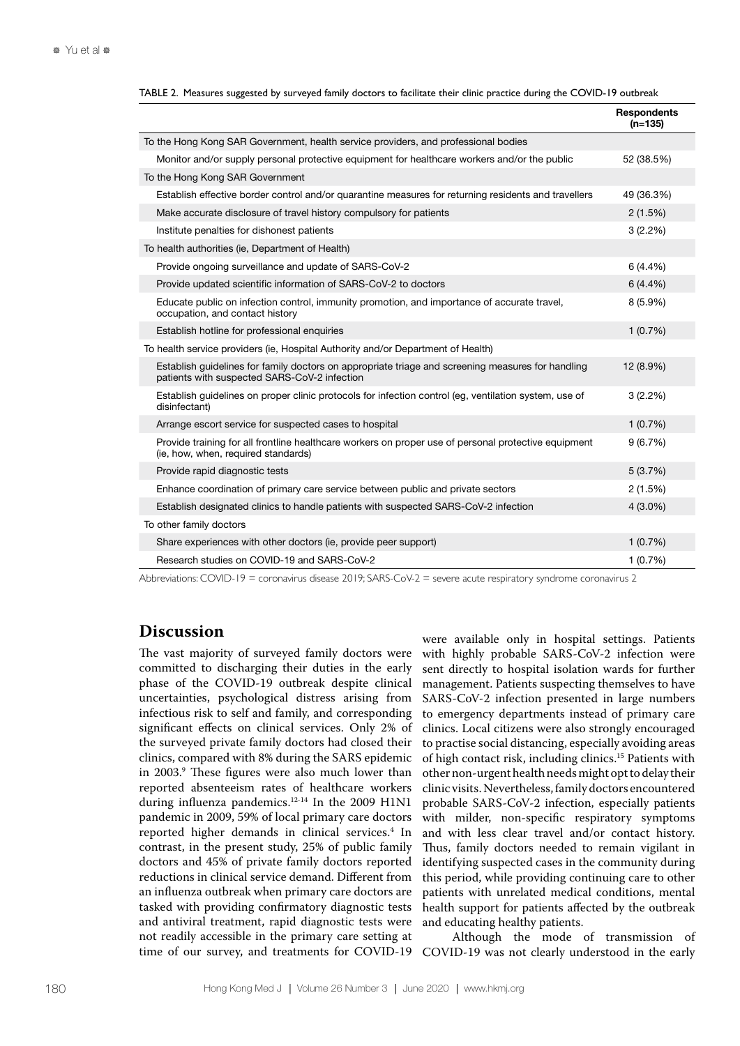|                                                                                                                                                   | <b>Respondents</b><br>$(n=135)$ |
|---------------------------------------------------------------------------------------------------------------------------------------------------|---------------------------------|
| To the Hong Kong SAR Government, health service providers, and professional bodies                                                                |                                 |
| Monitor and/or supply personal protective equipment for healthcare workers and/or the public                                                      | 52 (38.5%)                      |
| To the Hong Kong SAR Government                                                                                                                   |                                 |
| Establish effective border control and/or quarantine measures for returning residents and travellers                                              | 49 (36.3%)                      |
| Make accurate disclosure of travel history compulsory for patients                                                                                | 2(1.5%)                         |
| Institute penalties for dishonest patients                                                                                                        | 3(2.2%)                         |
| To health authorities (ie, Department of Health)                                                                                                  |                                 |
| Provide ongoing surveillance and update of SARS-CoV-2                                                                                             | 6(4.4%)                         |
| Provide updated scientific information of SARS-CoV-2 to doctors                                                                                   | 6(4.4%)                         |
| Educate public on infection control, immunity promotion, and importance of accurate travel,<br>occupation, and contact history                    | $8(5.9\%)$                      |
| Establish hotline for professional enquiries                                                                                                      | 1(0.7%)                         |
| To health service providers (ie, Hospital Authority and/or Department of Health)                                                                  |                                 |
| Establish guidelines for family doctors on appropriate triage and screening measures for handling<br>patients with suspected SARS-CoV-2 infection | 12 (8.9%)                       |
| Establish guidelines on proper clinic protocols for infection control (eg, ventilation system, use of<br>disinfectant)                            | 3(2.2%)                         |
| Arrange escort service for suspected cases to hospital                                                                                            | 1(0.7%)                         |
| Provide training for all frontline healthcare workers on proper use of personal protective equipment<br>(ie, how, when, required standards)       | 9(6.7%)                         |
| Provide rapid diagnostic tests                                                                                                                    | 5(3.7%)                         |
| Enhance coordination of primary care service between public and private sectors                                                                   | 2(1.5%)                         |
| Establish designated clinics to handle patients with suspected SARS-CoV-2 infection                                                               | $4(3.0\%)$                      |
| To other family doctors                                                                                                                           |                                 |
| Share experiences with other doctors (ie, provide peer support)                                                                                   | 1(0.7%)                         |
| Research studies on COVID-19 and SARS-CoV-2                                                                                                       | 1(0.7%)                         |

TABLE 2. Measures suggested by surveyed family doctors to facilitate their clinic practice during the COVID-19 outbreak

Abbreviations: COVID-19 = coronavirus disease 2019; SARS-CoV-2 = severe acute respiratory syndrome coronavirus 2

## **Discussion**

The vast majority of surveyed family doctors were committed to discharging their duties in the early phase of the COVID-19 outbreak despite clinical uncertainties, psychological distress arising from infectious risk to self and family, and corresponding significant effects on clinical services. Only 2% of the surveyed private family doctors had closed their clinics, compared with 8% during the SARS epidemic in 2003.9 These figures were also much lower than reported absenteeism rates of healthcare workers during influenza pandemics.<sup>12-14</sup> In the 2009 H1N1 pandemic in 2009, 59% of local primary care doctors reported higher demands in clinical services.<sup>4</sup> In contrast, in the present study, 25% of public family doctors and 45% of private family doctors reported reductions in clinical service demand. Different from an influenza outbreak when primary care doctors are tasked with providing confirmatory diagnostic tests and antiviral treatment, rapid diagnostic tests were not readily accessible in the primary care setting at

were available only in hospital settings. Patients with highly probable SARS-CoV-2 infection were sent directly to hospital isolation wards for further management. Patients suspecting themselves to have SARS-CoV-2 infection presented in large numbers to emergency departments instead of primary care clinics. Local citizens were also strongly encouraged to practise social distancing, especially avoiding areas of high contact risk, including clinics.15 Patients with other non-urgent health needs might opt to delay their clinic visits. Nevertheless, family doctors encountered probable SARS-CoV-2 infection, especially patients with milder, non-specific respiratory symptoms and with less clear travel and/or contact history. Thus, family doctors needed to remain vigilant in identifying suspected cases in the community during this period, while providing continuing care to other patients with unrelated medical conditions, mental health support for patients affected by the outbreak and educating healthy patients.

time of our survey, and treatments for COVID-19 COVID-19 was not clearly understood in the early Although the mode of transmission of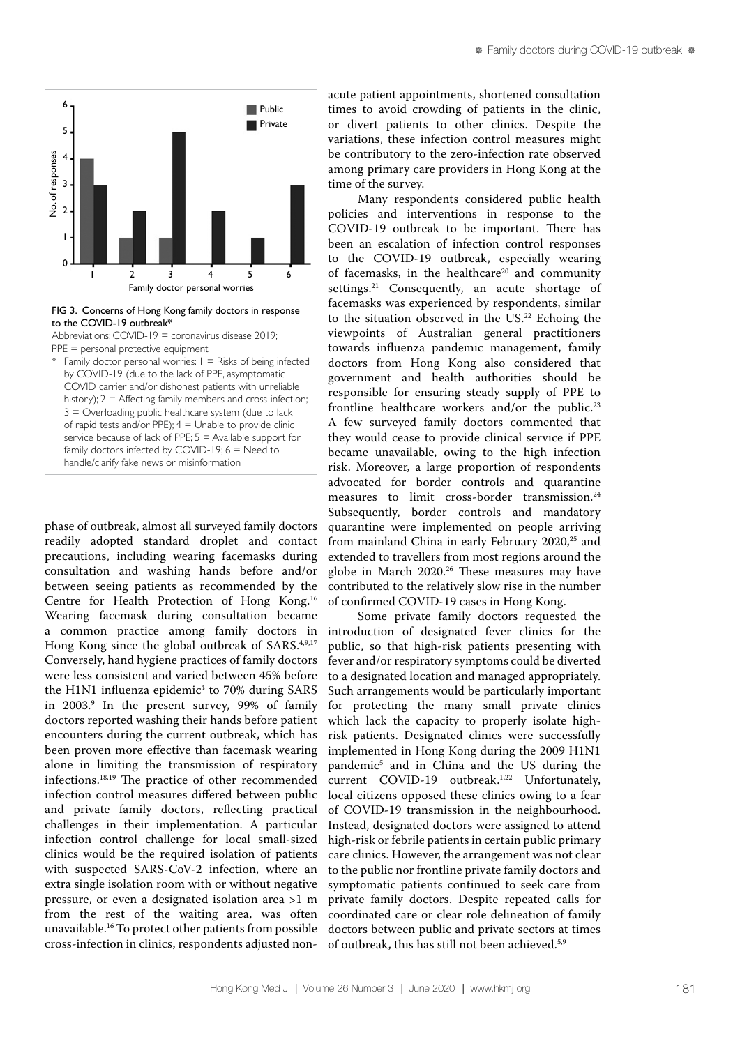

### FIG 3. Concerns of Hong Kong family doctors in response to the COVID-19 outbreak\*

Abbreviations: COVID-19 = coronavirus disease 2019; PPE = personal protective equipment

\* Family doctor personal worries: 1 = Risks of being infected by COVID-19 (due to the lack of PPE, asymptomatic COVID carrier and/or dishonest patients with unreliable history);  $2 =$  Affecting family members and cross-infection;  $3 =$  Overloading public healthcare system (due to lack of rapid tests and/or PPE);  $4 =$  Unable to provide clinic service because of lack of PPE; 5 = Available support for family doctors infected by COVID-19;  $6 =$  Need to handle/clarify fake news or misinformation

phase of outbreak, almost all surveyed family doctors readily adopted standard droplet and contact precautions, including wearing facemasks during consultation and washing hands before and/or between seeing patients as recommended by the Centre for Health Protection of Hong Kong.16 Wearing facemask during consultation became a common practice among family doctors in Hong Kong since the global outbreak of SARS.<sup>4,9,17</sup> Conversely, hand hygiene practices of family doctors were less consistent and varied between 45% before the H1N1 influenza epidemic<sup>4</sup> to 70% during SARS in 2003.9 In the present survey, 99% of family doctors reported washing their hands before patient encounters during the current outbreak, which has been proven more effective than facemask wearing alone in limiting the transmission of respiratory infections.18,19 The practice of other recommended infection control measures differed between public and private family doctors, reflecting practical challenges in their implementation. A particular infection control challenge for local small-sized clinics would be the required isolation of patients with suspected SARS-CoV-2 infection, where an extra single isolation room with or without negative pressure, or even a designated isolation area >1 m from the rest of the waiting area, was often unavailable.16 To protect other patients from possible cross-infection in clinics, respondents adjusted non-

acute patient appointments, shortened consultation times to avoid crowding of patients in the clinic, or divert patients to other clinics. Despite the variations, these infection control measures might be contributory to the zero-infection rate observed among primary care providers in Hong Kong at the time of the survey.

Many respondents considered public health policies and interventions in response to the COVID-19 outbreak to be important. There has been an escalation of infection control responses to the COVID-19 outbreak, especially wearing of facemasks, in the healthcare<sup>20</sup> and community settings.<sup>21</sup> Consequently, an acute shortage of facemasks was experienced by respondents, similar to the situation observed in the US.<sup>22</sup> Echoing the viewpoints of Australian general practitioners towards influenza pandemic management, family doctors from Hong Kong also considered that government and health authorities should be responsible for ensuring steady supply of PPE to frontline healthcare workers and/or the public.<sup>23</sup> A few surveyed family doctors commented that they would cease to provide clinical service if PPE became unavailable, owing to the high infection risk. Moreover, a large proportion of respondents advocated for border controls and quarantine measures to limit cross-border transmission.<sup>24</sup> Subsequently, border controls and mandatory quarantine were implemented on people arriving from mainland China in early February 2020,<sup>25</sup> and extended to travellers from most regions around the globe in March 2020.<sup>26</sup> These measures may have contributed to the relatively slow rise in the number of confirmed COVID-19 cases in Hong Kong.

Some private family doctors requested the introduction of designated fever clinics for the public, so that high-risk patients presenting with fever and/or respiratory symptoms could be diverted to a designated location and managed appropriately. Such arrangements would be particularly important for protecting the many small private clinics which lack the capacity to properly isolate highrisk patients. Designated clinics were successfully implemented in Hong Kong during the 2009 H1N1 pandemic<sup>5</sup> and in China and the US during the current COVID-19 outbreak.<sup>1,22</sup> Unfortunately, local citizens opposed these clinics owing to a fear of COVID-19 transmission in the neighbourhood. Instead, designated doctors were assigned to attend high-risk or febrile patients in certain public primary care clinics. However, the arrangement was not clear to the public nor frontline private family doctors and symptomatic patients continued to seek care from private family doctors. Despite repeated calls for coordinated care or clear role delineation of family doctors between public and private sectors at times of outbreak, this has still not been achieved.5,9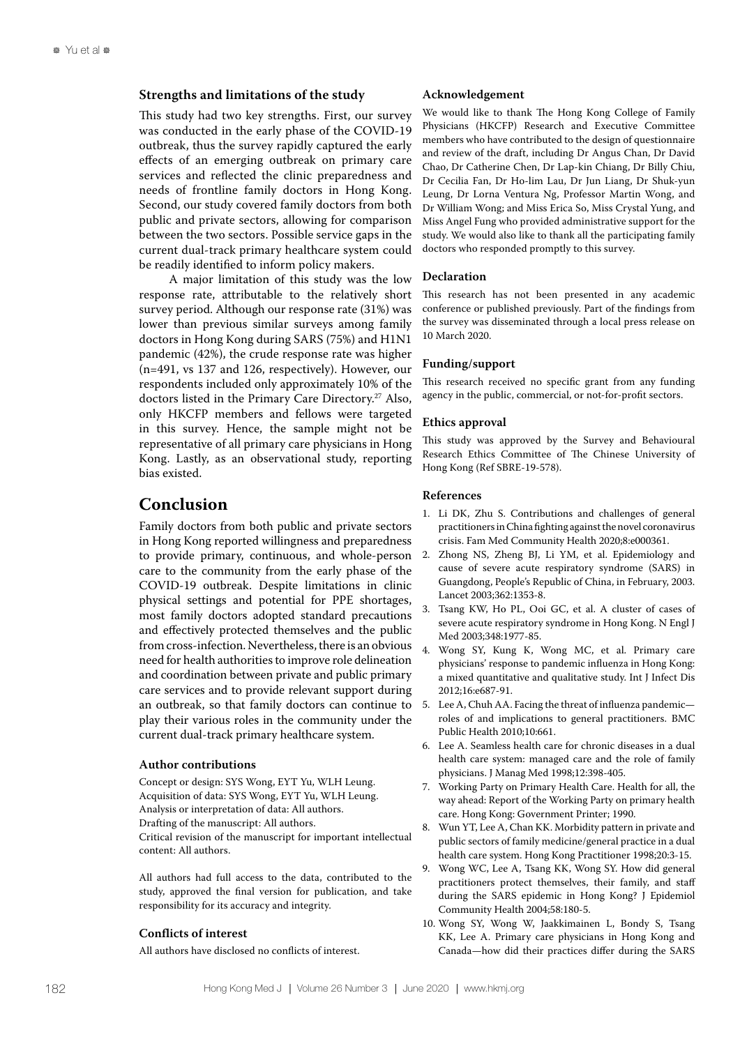### **Strengths and limitations of the study**

This study had two key strengths. First, our survey was conducted in the early phase of the COVID-19 outbreak, thus the survey rapidly captured the early effects of an emerging outbreak on primary care services and reflected the clinic preparedness and needs of frontline family doctors in Hong Kong. Second, our study covered family doctors from both public and private sectors, allowing for comparison between the two sectors. Possible service gaps in the current dual-track primary healthcare system could be readily identified to inform policy makers.

A major limitation of this study was the low response rate, attributable to the relatively short survey period. Although our response rate (31%) was lower than previous similar surveys among family doctors in Hong Kong during SARS (75%) and H1N1 pandemic (42%), the crude response rate was higher (n=491, vs 137 and 126, respectively). However, our respondents included only approximately 10% of the doctors listed in the Primary Care Directory.<sup>27</sup> Also, only HKCFP members and fellows were targeted in this survey. Hence, the sample might not be representative of all primary care physicians in Hong Kong. Lastly, as an observational study, reporting bias existed.

## **Conclusion**

Family doctors from both public and private sectors in Hong Kong reported willingness and preparedness to provide primary, continuous, and whole-person care to the community from the early phase of the COVID-19 outbreak. Despite limitations in clinic physical settings and potential for PPE shortages, most family doctors adopted standard precautions and effectively protected themselves and the public from cross-infection. Nevertheless, there is an obvious need for health authorities to improve role delineation and coordination between private and public primary care services and to provide relevant support during an outbreak, so that family doctors can continue to play their various roles in the community under the current dual-track primary healthcare system.

### **Author contributions**

Concept or design: SYS Wong, EYT Yu, WLH Leung. Acquisition of data: SYS Wong, EYT Yu, WLH Leung. Analysis or interpretation of data: All authors. Drafting of the manuscript: All authors. Critical revision of the manuscript for important intellectual content: All authors.

All authors had full access to the data, contributed to the study, approved the final version for publication, and take responsibility for its accuracy and integrity.

### **Conflicts of interest**

All authors have disclosed no conflicts of interest.

### **Acknowledgement**

We would like to thank The Hong Kong College of Family Physicians (HKCFP) Research and Executive Committee members who have contributed to the design of questionnaire and review of the draft, including Dr Angus Chan, Dr David Chao, Dr Catherine Chen, Dr Lap-kin Chiang, Dr Billy Chiu, Dr Cecilia Fan, Dr Ho-lim Lau, Dr Jun Liang, Dr Shuk-yun Leung, Dr Lorna Ventura Ng, Professor Martin Wong, and Dr William Wong; and Miss Erica So, Miss Crystal Yung, and Miss Angel Fung who provided administrative support for the study. We would also like to thank all the participating family doctors who responded promptly to this survey.

#### **Declaration**

This research has not been presented in any academic conference or published previously. Part of the findings from the survey was disseminated through a local press release on 10 March 2020.

#### **Funding/support**

This research received no specific grant from any funding agency in the public, commercial, or not-for-profit sectors.

### **Ethics approval**

This study was approved by the Survey and Behavioural Research Ethics Committee of The Chinese University of Hong Kong (Ref SBRE-19-578).

### **References**

- 1. Li DK, Zhu S. Contributions and challenges of general practitioners in China fighting against the novel coronavirus crisis. Fam Med Community Health 2020;8:e000361.
- 2. Zhong NS, Zheng BJ, Li YM, et al. Epidemiology and cause of severe acute respiratory syndrome (SARS) in Guangdong, People's Republic of China, in February, 2003. Lancet 2003;362:1353-8.
- 3. Tsang KW, Ho PL, Ooi GC, et al. A cluster of cases of severe acute respiratory syndrome in Hong Kong. N Engl J Med 2003;348:1977-85.
- 4. Wong SY, Kung K, Wong MC, et al. Primary care physicians' response to pandemic influenza in Hong Kong: a mixed quantitative and qualitative study. Int J Infect Dis 2012;16:e687-91.
- 5. Lee A, Chuh AA. Facing the threat of influenza pandemic roles of and implications to general practitioners. BMC Public Health 2010;10:661.
- 6. Lee A. Seamless health care for chronic diseases in a dual health care system: managed care and the role of family physicians. J Manag Med 1998;12:398-405.
- 7. Working Party on Primary Health Care. Health for all, the way ahead: Report of the Working Party on primary health care. Hong Kong: Government Printer; 1990.
- 8. Wun YT, Lee A, Chan KK. Morbidity pattern in private and public sectors of family medicine/general practice in a dual health care system. Hong Kong Practitioner 1998;20:3-15.
- 9. Wong WC, Lee A, Tsang KK, Wong SY. How did general practitioners protect themselves, their family, and staff during the SARS epidemic in Hong Kong? J Epidemiol Community Health 2004;58:180-5.
- 10. Wong SY, Wong W, Jaakkimainen L, Bondy S, Tsang KK, Lee A. Primary care physicians in Hong Kong and Canada—how did their practices differ during the SARS